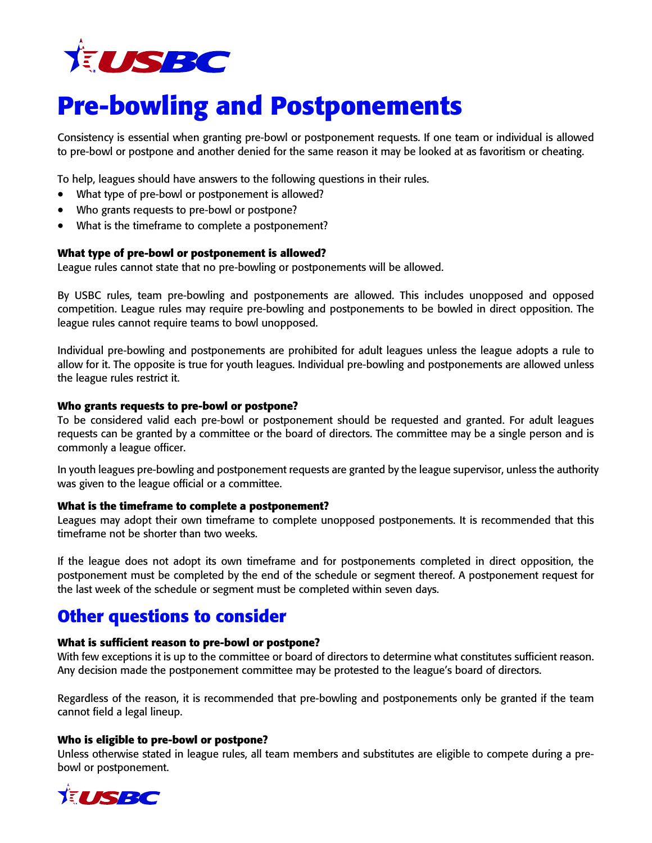

# **Pre-bowling and Postponements**

Consistency is essential when granting pre-bowl or postponement requests. If one team or individual is allowed to pre-bowl or postpone and another denied for the same reason it may be looked at as favoritism or cheating.

To help, leagues should have answers to the following questions in their rules.

- What type of pre-bowl or postponement is allowed?
- Who grants requests to pre-bowl or postpone?
- What is the timeframe to complete a postponement?

#### **What type of pre-bowl or postponement is allowed?**

League rules cannot state that no pre-bowling or postponements will be allowed.

By USBC rules, team pre-bowling and postponements are allowed. This includes unopposed and opposed competition. League rules may require pre-bowling and postponements to be bowled in direct opposition. The league rules cannot require teams to bowl unopposed.

Individual pre-bowling and postponements are prohibited for adult leagues unless the league adopts a rule to allow for it. The opposite is true for youth leagues. Individual pre-bowling and postponements are allowed unless the league rules restrict it.

#### **Who grants requests to pre-bowl or postpone?**

To be considered valid each pre-bowl or postponement should be requested and granted. For adult leagues requests can be granted by a committee or the board of directors. The committee may be a single person and is commonly a league officer.

In youth leagues pre-bowling and postponement requests are granted by the league supervisor, unless the authority was given to the league official or a committee.

#### **What is the timeframe to complete a postponement?**

Leagues may adopt their own timeframe to complete unopposed postponements. It is recommended that this timeframe not be shorter than two weeks.

If the league does not adopt its own timeframe and for postponements completed in direct opposition, the postponement must be completed by the end of the schedule or segment thereof. A postponement request for the last week of the schedule or segment must be completed within seven days.

### **Other questions to consider**

#### **What is sufficient reason to pre-bowl or postpone?**

With few exceptions it is up to the committee or board of directors to determine what constitutes sufficient reason. Any decision made the postponement committee may be protested to the league's board of directors.

Regardless of the reason, it is recommended that pre-bowling and postponements only be granted if the team cannot field a legal lineup.

#### **Who is eligible to pre-bowl or postpone?**

Unless otherwise stated in league rules, all team members and substitutes are eligible to compete during a prebowl or postponement.